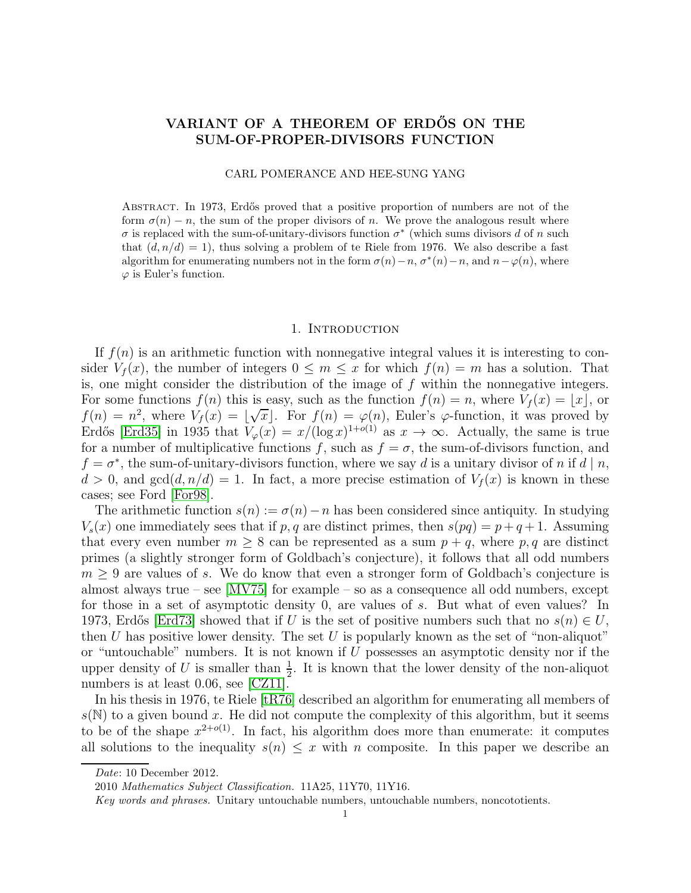# VARIANT OF A THEOREM OF ERDŐS ON THE SUM-OF-PROPER-DIVISORS FUNCTION

# CARL POMERANCE AND HEE-SUNG YANG

ABSTRACT. In 1973, Erdős proved that a positive proportion of numbers are not of the form  $\sigma(n) - n$ , the sum of the proper divisors of n. We prove the analogous result where  $\sigma$  is replaced with the sum-of-unitary-divisors function  $\sigma^*$  (which sums divisors d of n such that  $(d, n/d) = 1$ , thus solving a problem of te Riele from 1976. We also describe a fast algorithm for enumerating numbers not in the form  $\sigma(n) - n$ ,  $\sigma^*(n) - n$ , and  $n - \varphi(n)$ , where  $\varphi$  is Euler's function.

# 1. INTRODUCTION

If  $f(n)$  is an arithmetic function with nonnegative integral values it is interesting to consider  $V_f(x)$ , the number of integers  $0 \leq m \leq x$  for which  $f(n) = m$  has a solution. That is, one might consider the distribution of the image of  $f$  within the nonnegative integers. For some functions  $f(n)$  this is easy, such as the function  $f(n) = n$ , where  $V_f(x) = |x|$ , or  $f(n) = n^2$ , where  $V_f(x) = \lfloor \sqrt{x} \rfloor$ . For  $f(n) = \varphi(n)$ , Euler's  $\varphi$ -function, it was proved by Erdős [\[Erd35\]](#page-9-0) in 1935 that  $V_{\varphi}(x) = x/(\log x)^{1+o(1)}$  as  $x \to \infty$ . Actually, the same is true for a number of multiplicative functions f, such as  $f = \sigma$ , the sum-of-divisors function, and  $f = \sigma^*$ , the sum-of-unitary-divisors function, where we say d is a unitary divisor of n if d | n,  $d > 0$ , and  $gcd(d, n/d) = 1$ . In fact, a more precise estimation of  $V_f(x)$  is known in these cases; see Ford [\[For98\]](#page-9-1).

The arithmetic function  $s(n) := \sigma(n) - n$  has been considered since antiquity. In studying  $V_s(x)$  one immediately sees that if p, q are distinct primes, then  $s(pq) = p + q + 1$ . Assuming that every even number  $m \geq 8$  can be represented as a sum  $p + q$ , where p, q are distinct primes (a slightly stronger form of Goldbach's conjecture), it follows that all odd numbers  $m \geq 9$  are values of s. We do know that even a stronger form of Goldbach's conjecture is almost always true – see [\[MV75\]](#page-10-0) for example – so as a consequence all odd numbers, except for those in a set of asymptotic density 0, are values of s. But what of even values? In 1973, Erdős [\[Erd73\]](#page-9-2) showed that if U is the set of positive numbers such that no  $s(n) \in U$ , then U has positive lower density. The set U is popularly known as the set of "non-aliquot" or "untouchable" numbers. It is not known if  $U$  possesses an asymptotic density nor if the upper density of U is smaller than  $\frac{1}{2}$ . It is known that the lower density of the non-aliquot numbers is at least 0.06, see [\[CZ11\]](#page-9-3).

In his thesis in 1976, te Riele [\[tR76\]](#page-10-1) described an algorithm for enumerating all members of  $s(N)$  to a given bound x. He did not compute the complexity of this algorithm, but it seems to be of the shape  $x^{2+o(1)}$ . In fact, his algorithm does more than enumerate: it computes all solutions to the inequality  $s(n) \leq x$  with n composite. In this paper we describe an

Date: 10 December 2012.

<sup>2010</sup> Mathematics Subject Classification. 11A25, 11Y70, 11Y16.

Key words and phrases. Unitary untouchable numbers, untouchable numbers, noncototients.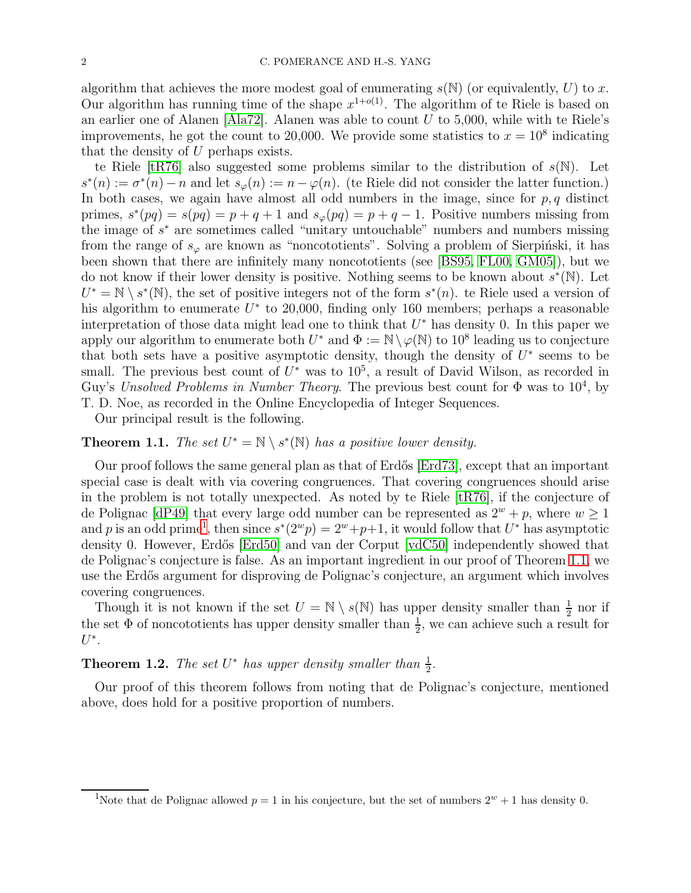algorithm that achieves the more modest goal of enumerating  $s(N)$  (or equivalently, U) to x. Our algorithm has running time of the shape  $x^{1+o(1)}$ . The algorithm of te Riele is based on an earlier one of Alanen [\[Ala72\]](#page-9-4). Alanen was able to count  $U$  to 5,000, while with te Riele's improvements, he got the count to 20,000. We provide some statistics to  $x = 10^8$  indicating that the density of U perhaps exists.

te Riele [\[tR76\]](#page-10-1) also suggested some problems similar to the distribution of  $s(N)$ . Let  $s^*(n) := \sigma^*(n) - n$  and let  $s_{\varphi}(n) := n - \varphi(n)$ . (te Riele did not consider the latter function.) In both cases, we again have almost all odd numbers in the image, since for  $p, q$  distinct primes,  $s^*(pq) = s(pq) = p + q + 1$  and  $s_{\varphi}(pq) = p + q - 1$ . Positive numbers missing from the image of  $s^*$  are sometimes called "unitary untouchable" numbers and numbers missing from the range of  $s_{\varphi}$  are known as "noncototients". Solving a problem of Sierpinski, it has been shown that there are infinitely many noncototients (see [\[BS95,](#page-9-5) [FL00,](#page-9-6) [GM05\]](#page-9-7)), but we do not know if their lower density is positive. Nothing seems to be known about  $s^*(\mathbb{N})$ . Let  $U^* = \mathbb{N} \setminus s^*(\mathbb{N})$ , the set of positive integers not of the form  $s^*(n)$ . te Riele used a version of his algorithm to enumerate  $U^*$  to 20,000, finding only 160 members; perhaps a reasonable interpretation of those data might lead one to think that  $U^*$  has density 0. In this paper we apply our algorithm to enumerate both  $U^*$  and  $\Phi := \mathbb{N} \setminus \varphi(\mathbb{N})$  to  $10^8$  leading us to conjecture that both sets have a positive asymptotic density, though the density of  $U^*$  seems to be small. The previous best count of  $U^*$  was to  $10^5$ , a result of David Wilson, as recorded in Guy's *Unsolved Problems in Number Theory*. The previous best count for  $\Phi$  was to  $10^4$ , by T. D. Noe, as recorded in the Online Encyclopedia of Integer Sequences.

Our principal result is the following.

# <span id="page-1-1"></span>**Theorem 1.1.** *The set*  $U^* = \mathbb{N} \setminus s^*(\mathbb{N})$  *has a positive lower density.*

Our proof follows the same general plan as that of Erd˝os [\[Erd73\]](#page-9-2), except that an important special case is dealt with via covering congruences. That covering congruences should arise in the problem is not totally unexpected. As noted by te Riele  $[tR76]$ , if the conjecture of de Polignac [\[dP49\]](#page-9-8) that every large odd number can be represented as  $2^w + p$ , where  $w \ge 1$ and p is an odd prime<sup>[1](#page-1-0)</sup>, then since  $s^*(2^w p) = 2^w + p + 1$ , it would follow that  $U^*$  has asymptotic density 0. However, Erdős [\[Erd50\]](#page-9-9) and van der Corput [\[vdC50\]](#page-10-2) independently showed that de Polignac's conjecture is false. As an important ingredient in our proof of Theorem [1.1,](#page-1-1) we use the Erdős argument for disproving de Polignac's conjecture, an argument which involves covering congruences.

Though it is not known if the set  $U = \mathbb{N} \setminus s(\mathbb{N})$  has upper density smaller than  $\frac{1}{2}$  nor if the set  $\Phi$  of noncototients has upper density smaller than  $\frac{1}{2}$ , we can achieve such a result for  $U^*$ .

<span id="page-1-2"></span>**Theorem 1.2.** The set  $U^*$  has upper density smaller than  $\frac{1}{2}$ .

Our proof of this theorem follows from noting that de Polignac's conjecture, mentioned above, does hold for a positive proportion of numbers.

<span id="page-1-0"></span><sup>&</sup>lt;sup>1</sup>Note that de Polignac allowed  $p = 1$  in his conjecture, but the set of numbers  $2^w + 1$  has density 0.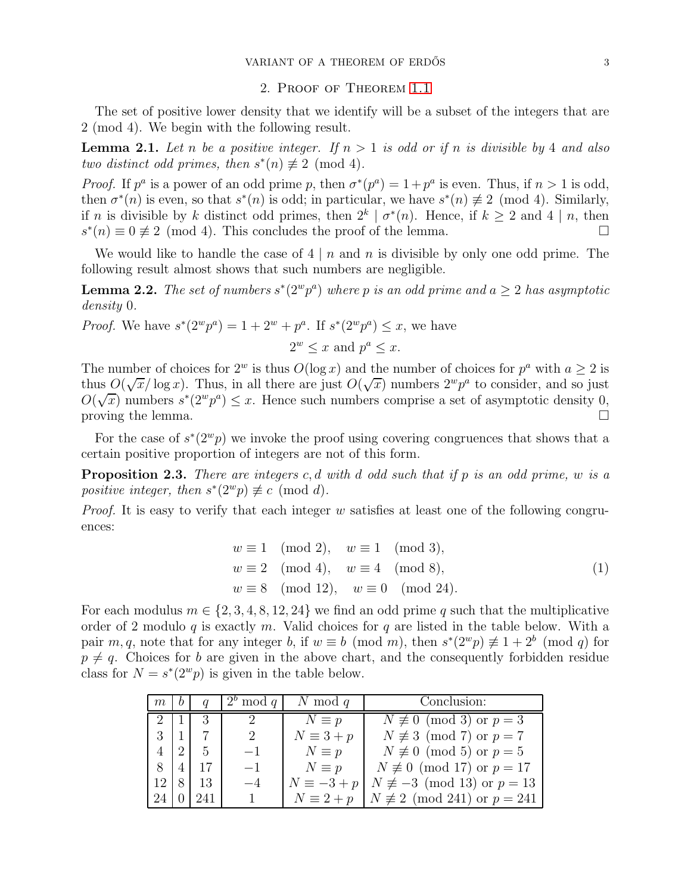# 2. Proof of Theorem [1.1](#page-1-1)

The set of positive lower density that we identify will be a subset of the integers that are 2 (mod 4). We begin with the following result.

<span id="page-2-2"></span>**Lemma 2.1.** Let n be a positive integer. If  $n > 1$  is odd or if n is divisible by 4 and also *two distinct odd primes, then*  $s^*(n) \not\equiv 2 \pmod{4}$ *.* 

*Proof.* If  $p^a$  is a power of an odd prime p, then  $\sigma^*(p^a) = 1 + p^a$  is even. Thus, if  $n > 1$  is odd, then  $\sigma^*(n)$  is even, so that  $s^*(n)$  is odd; in particular, we have  $s^*(n) \not\equiv 2 \pmod{4}$ . Similarly, if n is divisible by k distinct odd primes, then  $2^k \mid \sigma^*(n)$ . Hence, if  $k \geq 2$  and  $4 \mid n$ , then  $s^*(n) \equiv 0 \not\equiv 2 \pmod{4}$ . This concludes the proof of the lemma.

We would like to handle the case of  $4 \mid n$  and n is divisible by only one odd prime. The following result almost shows that such numbers are negligible.

<span id="page-2-3"></span>**Lemma 2.2.** The set of numbers  $s^*(2^w p^a)$  where p is an odd prime and  $a \geq 2$  has asymptotic *density* 0*.*

*Proof.* We have  $s^*(2^w p^a) = 1 + 2^w + p^a$ . If  $s^*(2^w p^a) \leq x$ , we have

$$
2^w \le x \text{ and } p^a \le x.
$$

The number of choices for  $2^w$  is thus  $O(\log x)$  and the number of choices for  $p^a$  with  $a \geq 2$  is thus  $O(\sqrt{x}/\log x)$ . Thus, in all there are just  $O(\sqrt{x})$  numbers  $2^w p^a$  to consider, and so just  $O(\sqrt{x})$  numbers  $s^*(2^w p^a) \leq x$ . Hence such numbers comprise a set of asymptotic density 0, proving the lemma.  $\Box$ 

For the case of  $s^*(2^w p)$  we invoke the proof using covering congruences that shows that a certain positive proportion of integers are not of this form.

<span id="page-2-1"></span>Proposition 2.3. *There are integers* c, d *with* d *odd such that if* p *is an odd prime,* w *is a positive integer, then*  $s^*(2^w p) \not\equiv c \pmod{d}$ .

*Proof.* It is easy to verify that each integer w satisfies at least one of the following congruences:

<span id="page-2-0"></span>
$$
w \equiv 1 \pmod{2}, \quad w \equiv 1 \pmod{3},
$$
  
\n
$$
w \equiv 2 \pmod{4}, \quad w \equiv 4 \pmod{8},
$$
  
\n
$$
w \equiv 8 \pmod{12}, \quad w \equiv 0 \pmod{24}.
$$
  
\n(1)

For each modulus  $m \in \{2, 3, 4, 8, 12, 24\}$  we find an odd prime q such that the multiplicative order of 2 modulo q is exactly m. Valid choices for q are listed in the table below. With a pair m, q, note that for any integer b, if  $w \equiv b \pmod{m}$ , then  $s^*(2^w p) \not\equiv 1 + 2^b \pmod{q}$  for  $p \neq q$ . Choices for b are given in the above chart, and the consequently forbidden residue class for  $N = s^*(2^w p)$  is given in the table below.

| $m_{\rm c}$ |    | $2^b \bmod q$ | N mod $q$         | Conclusion:                              |
|-------------|----|---------------|-------------------|------------------------------------------|
|             | 3  |               | $N \equiv p$      | $N \not\equiv 0 \pmod{3}$ or $p = 3$     |
| 3           |    | 2             | $N \equiv 3 + p$  | $N \not\equiv 3 \pmod{7}$ or $p = 7$     |
| 4           | 5  | $-1$          | $N \equiv p$      | $N \not\equiv 0 \pmod{5}$ or $p=5$       |
| 8           | 17 | $-1$          | $N \equiv p$      | $N \not\equiv 0 \pmod{17}$ or $p = 17$   |
| 12          | 13 | $-4$          | $N \equiv -3 + p$ | $N \not\equiv -3 \pmod{13}$ or $p = 13$  |
| 24          |    |               | $N \equiv 2 + p$  | $N \not\equiv 2 \pmod{241}$ or $p = 241$ |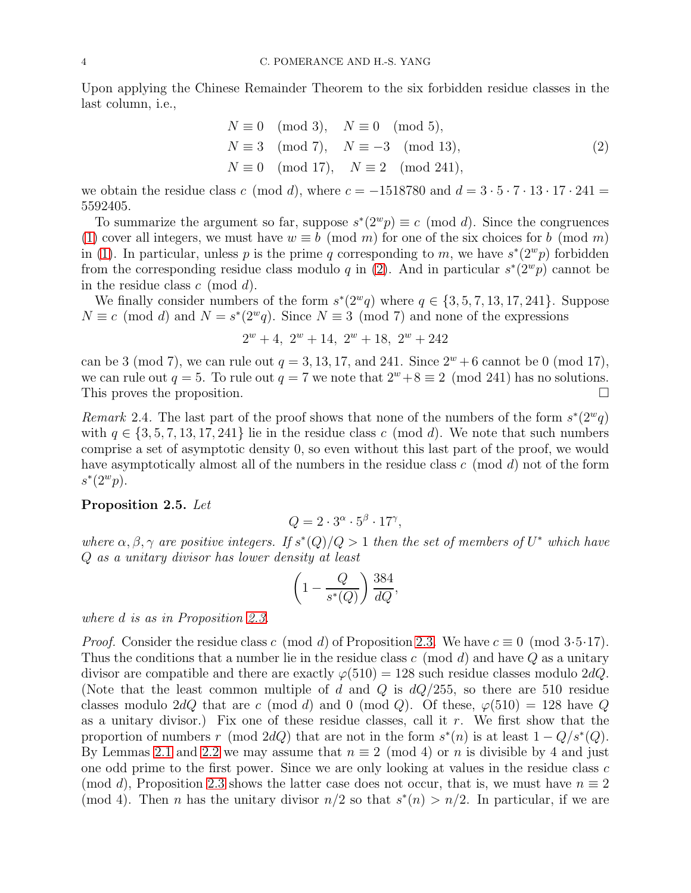Upon applying the Chinese Remainder Theorem to the six forbidden residue classes in the last column, i.e.,

<span id="page-3-0"></span>
$$
N \equiv 0 \pmod{3}, \quad N \equiv 0 \pmod{5},
$$
  
\n
$$
N \equiv 3 \pmod{7}, \quad N \equiv -3 \pmod{13},
$$
  
\n
$$
N \equiv 0 \pmod{17}, \quad N \equiv 2 \pmod{241},
$$
\n(2)

we obtain the residue class c (mod d), where  $c = -1518780$  and  $d = 3 \cdot 5 \cdot 7 \cdot 13 \cdot 17 \cdot 241 =$ 5592405.

To summarize the argument so far, suppose  $s^*(2^w p) \equiv c \pmod{d}$ . Since the congruences [\(1\)](#page-2-0) cover all integers, we must have  $w \equiv b \pmod{m}$  for one of the six choices for b (mod m) in [\(1\)](#page-2-0). In particular, unless p is the prime q corresponding to m, we have  $s^*(2^w p)$  forbidden from the corresponding residue class modulo q in [\(2\)](#page-3-0). And in particular  $s^*(2^w p)$  cannot be in the residue class  $c \pmod{d}$ .

We finally consider numbers of the form  $s^*(2^wq)$  where  $q \in \{3, 5, 7, 13, 17, 241\}$ . Suppose  $N \equiv c \pmod{d}$  and  $N = s^*(2^w q)$ . Since  $N \equiv 3 \pmod{7}$  and none of the expressions

$$
2^w + 4, 2^w + 14, 2^w + 18, 2^w + 242
$$

can be 3 (mod 7), we can rule out  $q = 3, 13, 17,$  and 241. Since  $2^w + 6$  cannot be 0 (mod 17), we can rule out  $q = 5$ . To rule out  $q = 7$  we note that  $2^w + 8 \equiv 2 \pmod{241}$  has no solutions.<br>This proves the proposition. This proves the proposition.

*Remark* 2.4. The last part of the proof shows that none of the numbers of the form  $s^*(2^wq)$ with  $q \in \{3, 5, 7, 13, 17, 241\}$  lie in the residue class c (mod d). We note that such numbers comprise a set of asymptotic density 0, so even without this last part of the proof, we would have asymptotically almost all of the numbers in the residue class  $c \pmod{d}$  not of the form  $s^*(2^w p)$ .

# <span id="page-3-1"></span>Proposition 2.5. *Let*

$$
Q = 2 \cdot 3^{\alpha} \cdot 5^{\beta} \cdot 17^{\gamma},
$$

where  $\alpha, \beta, \gamma$  are positive integers. If  $s^*(Q)/Q > 1$  then the set of members of  $U^*$  which have Q *as a unitary divisor has lower density at least*

$$
\left(1 - \frac{Q}{s^*(Q)}\right) \frac{384}{dQ},
$$

*where* d *is as in Proposition [2.3.](#page-2-1)*

*Proof.* Consider the residue class c (mod d) of Proposition [2.3.](#page-2-1) We have  $c \equiv 0 \pmod{3 \cdot 5 \cdot 17}$ . Thus the conditions that a number lie in the residue class  $c \pmod{d}$  and have  $Q$  as a unitary divisor are compatible and there are exactly  $\varphi(510) = 128$  such residue classes modulo 2dQ. (Note that the least common multiple of d and Q is  $dQ/255$ , so there are 510 residue classes modulo 2dQ that are c (mod d) and 0 (mod Q). Of these,  $\varphi(510) = 128$  have Q as a unitary divisor.) Fix one of these residue classes, call it r. We first show that the proportion of numbers r (mod 2dQ) that are not in the form  $s^*(n)$  is at least  $1 - Q/s^*(Q)$ . By Lemmas [2.1](#page-2-2) and [2.2](#page-2-3) we may assume that  $n \equiv 2 \pmod{4}$  or n is divisible by 4 and just one odd prime to the first power. Since we are only looking at values in the residue class c (mod d), Proposition [2.3](#page-2-1) shows the latter case does not occur, that is, we must have  $n \equiv 2$ (mod 4). Then *n* has the unitary divisor  $n/2$  so that  $s^*(n) > n/2$ . In particular, if we are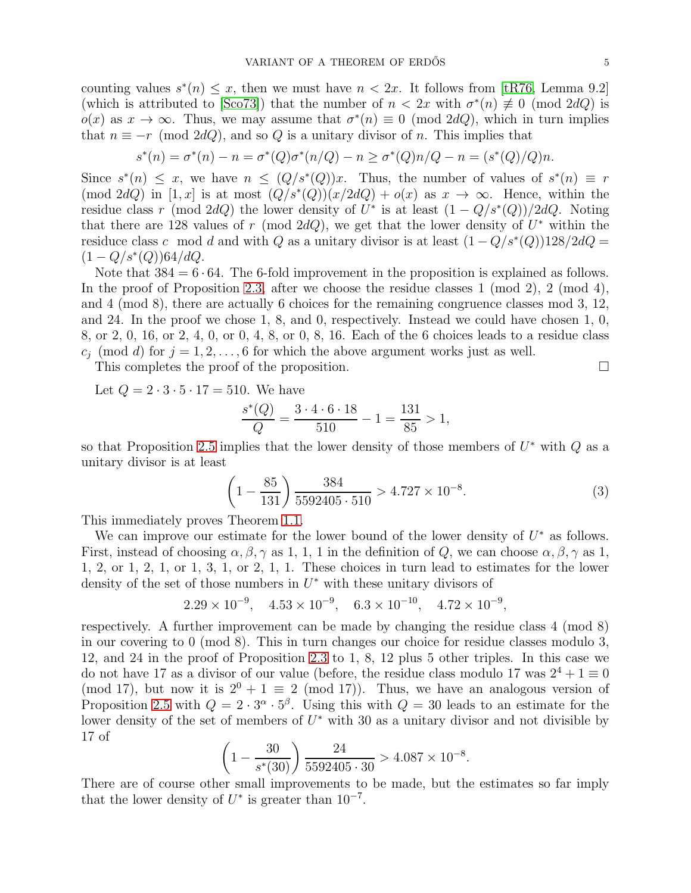counting values  $s^*(n) \leq x$ , then we must have  $n < 2x$ . It follows from [\[tR76,](#page-10-1) Lemma 9.2] (which is attributed to [\[Sco73\]](#page-10-3)) that the number of  $n < 2x$  with  $\sigma^*(n) \neq 0$  (mod 2dQ) is  $o(x)$  as  $x \to \infty$ . Thus, we may assume that  $\sigma^*(n) \equiv 0 \pmod{2dQ}$ , which in turn implies that  $n \equiv -r \pmod{2dQ}$ , and so Q is a unitary divisor of n. This implies that

$$
s^*(n) = \sigma^*(n) - n = \sigma^*(Q)\sigma^*(n/Q) - n \ge \sigma^*(Q)n/Q - n = (s^*(Q)/Q)n.
$$

Since  $s^*(n) \leq x$ , we have  $n \leq (Q/s^*(Q))x$ . Thus, the number of values of  $s^*(n) \equiv r$  $(\text{mod } 2dQ)$  in [1, x] is at most  $(\hat{Q}/s^*(\hat{Q}))(x/2dQ) + o(x)$  as  $x \to \infty$ . Hence, within the residue class r (mod 2dQ) the lower density of  $U^*$  is at least  $(1 - Q/s^*(Q))/2dQ$ . Noting that there are 128 values of r (mod 2dQ), we get that the lower density of  $U^*$  within the residuce class c mod d and with Q as a unitary divisor is at least  $(1 - Q/s^*(Q))128/2dQ =$  $(1 - Q/s^*(Q))64/dQ.$ 

Note that  $384 = 6 \cdot 64$ . The 6-fold improvement in the proposition is explained as follows. In the proof of Proposition [2.3,](#page-2-1) after we choose the residue classes 1 (mod 2), 2 (mod 4), and 4 (mod 8), there are actually 6 choices for the remaining congruence classes mod 3, 12, and 24. In the proof we chose 1, 8, and 0, respectively. Instead we could have chosen 1, 0, 8, or 2, 0, 16, or 2, 4, 0, or 0, 4, 8, or 0, 8, 16. Each of the 6 choices leads to a residue class  $c_j \pmod{d}$  for  $j = 1, 2, \ldots, 6$  for which the above argument works just as well.

This completes the proof of the proposition.

Let  $Q = 2 \cdot 3 \cdot 5 \cdot 17 = 510$ . We have

$$
\frac{s^*(Q)}{Q} = \frac{3 \cdot 4 \cdot 6 \cdot 18}{510} - 1 = \frac{131}{85} > 1,
$$

so that Proposition [2.5](#page-3-1) implies that the lower density of those members of  $U^*$  with  $Q$  as a unitary divisor is at least

<span id="page-4-0"></span>
$$
\left(1 - \frac{85}{131}\right) \frac{384}{5592405 \cdot 510} > 4.727 \times 10^{-8}.\tag{3}
$$

This immediately proves Theorem [1.1.](#page-1-1)

We can improve our estimate for the lower bound of the lower density of  $U^*$  as follows. First, instead of choosing  $\alpha, \beta, \gamma$  as 1, 1, 1 in the definition of Q, we can choose  $\alpha, \beta, \gamma$  as 1, 1, 2, or 1, 2, 1, or 1, 3, 1, or 2, 1, 1. These choices in turn lead to estimates for the lower density of the set of those numbers in  $U^*$  with these unitary divisors of

$$
2.29 \times 10^{-9}
$$
,  $4.53 \times 10^{-9}$ ,  $6.3 \times 10^{-10}$ ,  $4.72 \times 10^{-9}$ ,

respectively. A further improvement can be made by changing the residue class 4 (mod 8) in our covering to 0 (mod 8). This in turn changes our choice for residue classes modulo 3, 12, and 24 in the proof of Proposition [2.3](#page-2-1) to 1, 8, 12 plus 5 other triples. In this case we do not have 17 as a divisor of our value (before, the residue class modulo 17 was  $2^4 + 1 \equiv 0$ (mod 17), but now it is  $2^0 + 1 \equiv 2 \pmod{17}$ . Thus, we have an analogous version of Proposition [2.5](#page-3-1) with  $Q = 2 \cdot 3^{\alpha} \cdot 5^{\beta}$ . Using this with  $Q = 30$  leads to an estimate for the lower density of the set of members of  $U^*$  with 30 as a unitary divisor and not divisible by 17 of

$$
\left(1 - \frac{30}{s^*(30)}\right) \frac{24}{5592405 \cdot 30} > 4.087 \times 10^{-8}.
$$

There are of course other small improvements to be made, but the estimates so far imply that the lower density of  $U^*$  is greater than  $10^{-7}$ .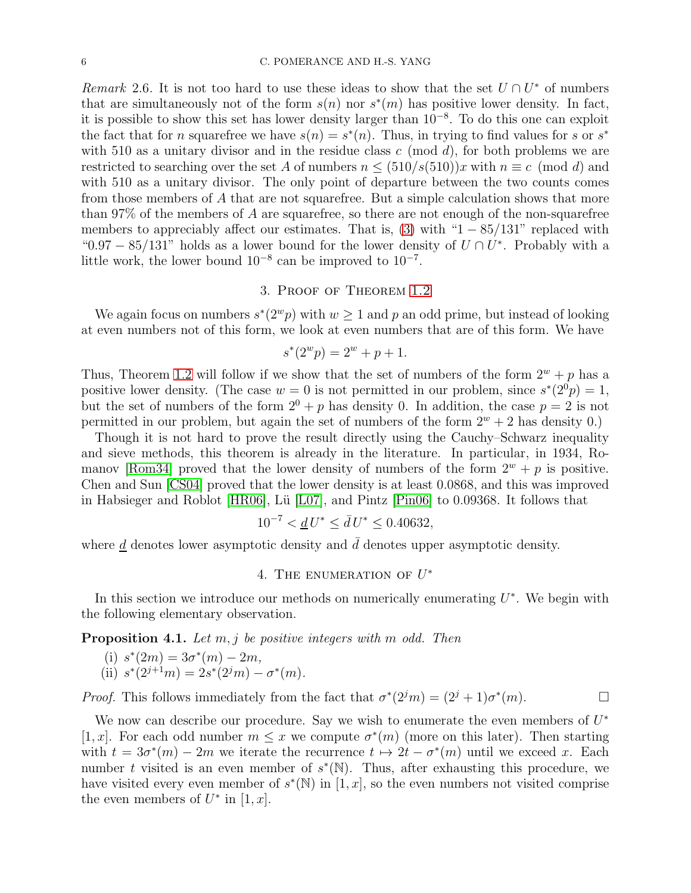*Remark* 2.6. It is not too hard to use these ideas to show that the set  $U \cap U^*$  of numbers that are simultaneously not of the form  $s(n)$  nor  $s^*(m)$  has positive lower density. In fact, it is possible to show this set has lower density larger than 10<sup>−</sup><sup>8</sup> . To do this one can exploit the fact that for n squarefree we have  $s(n) = s^*(n)$ . Thus, in trying to find values for s or s<sup>\*</sup> with 510 as a unitary divisor and in the residue class c (mod d), for both problems we are restricted to searching over the set A of numbers  $n \leq (510/s(510))x$  with  $n \equiv c \pmod{d}$  and with 510 as a unitary divisor. The only point of departure between the two counts comes from those members of A that are not squarefree. But a simple calculation shows that more than 97% of the members of A are squarefree, so there are not enough of the non-squarefree members to appreciably affect our estimates. That is,  $(3)$  with "1 – 85/131" replaced with "0.97 – 85/131" holds as a lower bound for the lower density of  $U \cap U^*$ . Probably with a little work, the lower bound  $10^{-8}$  can be improved to  $10^{-7}$ .

# 3. Proof of Theorem [1.2](#page-1-2)

We again focus on numbers  $s^*(2^w p)$  with  $w \ge 1$  and p an odd prime, but instead of looking at even numbers not of this form, we look at even numbers that are of this form. We have

$$
s^*(2^w p) = 2^w + p + 1.
$$

Thus, Theorem [1.2](#page-1-2) will follow if we show that the set of numbers of the form  $2^w + p$  has a positive lower density. (The case  $w = 0$  is not permitted in our problem, since  $s^*(2^0p) = 1$ , but the set of numbers of the form  $2^0 + p$  has density 0. In addition, the case  $p = 2$  is not permitted in our problem, but again the set of numbers of the form  $2^w + 2$  has density 0.)

Though it is not hard to prove the result directly using the Cauchy–Schwarz inequality and sieve methods, this theorem is already in the literature. In particular, in 1934, Ro-manov [\[Rom34\]](#page-10-4) proved that the lower density of numbers of the form  $2^w + p$  is positive. Chen and Sun [\[CS04\]](#page-9-10) proved that the lower density is at least 0.0868, and this was improved in Habsieger and Roblot [\[HR06\]](#page-9-11), Lü  $[LO7]$ , and Pintz [\[Pin06\]](#page-10-6) to 0.09368. It follows that

$$
10^{-7} < \underline{d} \, U^* \le \bar{d} \, U^* \le 0.40632,
$$

where  $\underline{d}$  denotes lower asymptotic density and  $\overline{d}$  denotes upper asymptotic density.

# 4. THE ENUMERATION OF  $U^*$

In this section we introduce our methods on numerically enumerating  $U^*$ . We begin with the following elementary observation.

Proposition 4.1. *Let* m, j *be positive integers with* m *odd. Then*

(i) 
$$
s^*(2m) = 3\sigma^*(m) - 2m
$$
,  
(ii)  $s^*(2^{j+1}m) = 2s^*(2^jm) - \sigma^*(m)$ .

*Proof.* This follows immediately from the fact that  $\sigma^*(2^j m) = (2^j + 1)\sigma^*(m)$ .

We now can describe our procedure. Say we wish to enumerate the even members of  $U^*$ [1, x]. For each odd number  $m \leq x$  we compute  $\sigma^*(m)$  (more on this later). Then starting with  $t = 3\sigma^*(m) - 2m$  we iterate the recurrence  $t \mapsto 2t - \sigma^*(m)$  until we exceed x. Each number t visited is an even member of  $s^*(\mathbb{N})$ . Thus, after exhausting this procedure, we have visited every even member of  $s^*(\mathbb{N})$  in  $[1, x]$ , so the even numbers not visited comprise the even members of  $U^*$  in  $[1, x]$ .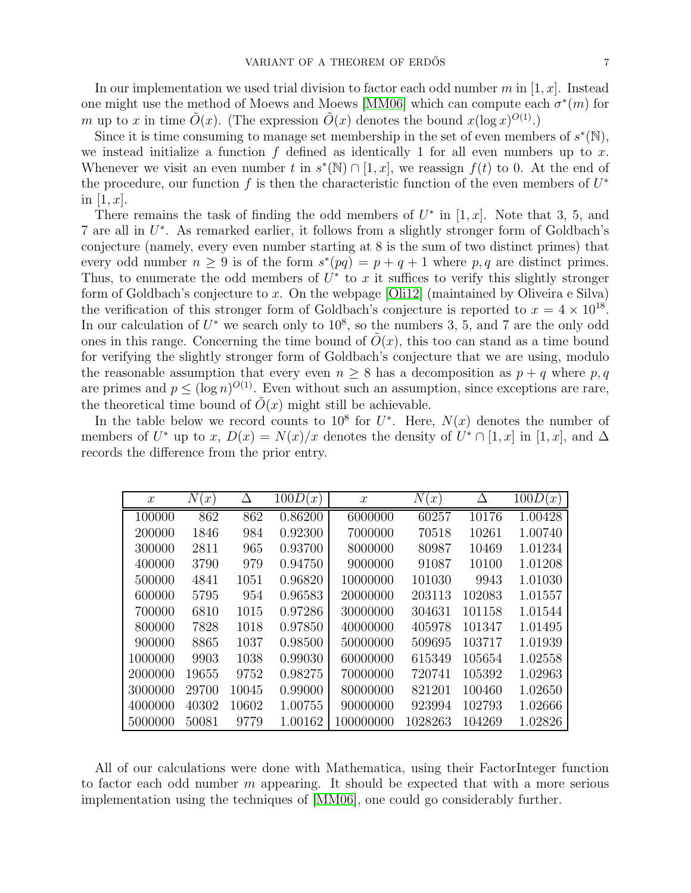In our implementation we used trial division to factor each odd number m in  $[1, x]$ . Instead one might use the method of Moews and Moews [\[MM06\]](#page-10-7) which can compute each  $\sigma^*(m)$  for m up to x in time  $\tilde{O}(x)$ . (The expression  $\tilde{O}(x)$  denotes the bound  $x(\log x)^{O(1)}$ .)

Since it is time consuming to manage set membership in the set of even members of  $s^*(\mathbb{N})$ , we instead initialize a function  $f$  defined as identically 1 for all even numbers up to x. Whenever we visit an even number t in  $s^*(N) \cap [1, x]$ , we reassign  $f(t)$  to 0. At the end of the procedure, our function f is then the characteristic function of the even members of  $U^*$ in  $[1, x]$ .

There remains the task of finding the odd members of  $U^*$  in [1, x]. Note that 3, 5, and 7 are all in  $U^*$ . As remarked earlier, it follows from a slightly stronger form of Goldbach's conjecture (namely, every even number starting at 8 is the sum of two distinct primes) that every odd number  $n \geq 9$  is of the form  $s^*(pq) = p + q + 1$  where p, q are distinct primes. Thus, to enumerate the odd members of  $U^*$  to x it suffices to verify this slightly stronger form of Goldbach's conjecture to x. On the webpage [\[Oli12\]](#page-10-8) (maintained by Oliveira e Silva) the verification of this stronger form of Goldbach's conjecture is reported to  $x = 4 \times 10^{18}$ . In our calculation of  $U^*$  we search only to  $10^8$ , so the numbers 3, 5, and 7 are the only odd ones in this range. Concerning the time bound of  $O(x)$ , this too can stand as a time bound for verifying the slightly stronger form of Goldbach's conjecture that we are using, modulo the reasonable assumption that every even  $n \geq 8$  has a decomposition as  $p + q$  where p, q are primes and  $p \leq (\log n)^{O(1)}$ . Even without such an assumption, since exceptions are rare, the theoretical time bound of  $\tilde{O}(x)$  might still be achievable.

In the table below we record counts to 10<sup>8</sup> for  $U^*$ . Here,  $N(x)$  denotes the number of members of  $U^*$  up to  $x$ ,  $D(x) = N(x)/x$  denotes the density of  $U^* \cap [1, x]$  in  $[1, x]$ , and  $\Delta$ records the difference from the prior entry.

| $\mathcal{X}$ | $\,N$<br>$\lceil x \rceil$ |       | 100D<br>(x) | $\mathcal{X}$ | $\,N$<br>$\lceil x \rceil$ | Δ      | 100D(x) |
|---------------|----------------------------|-------|-------------|---------------|----------------------------|--------|---------|
| 100000        | 862                        | 862   | 0.86200     | 6000000       | 60257                      | 10176  | 1.00428 |
| 200000        | 1846                       | 984   | 0.92300     | 7000000       | 70518                      | 10261  | 1.00740 |
| 300000        | 2811                       | 965   | 0.93700     | 8000000       | 80987                      | 10469  | 1.01234 |
| 400000        | 3790                       | 979   | 0.94750     | 9000000       | 91087                      | 10100  | 1.01208 |
| 500000        | 4841                       | 1051  | 0.96820     | 10000000      | 101030                     | 9943   | 1.01030 |
| 600000        | 5795                       | 954   | 0.96583     | 20000000      | 203113                     | 102083 | 1.01557 |
| 700000        | 6810                       | 1015  | 0.97286     | 30000000      | 304631                     | 101158 | 1.01544 |
| 800000        | 7828                       | 1018  | 0.97850     | 40000000      | 405978                     | 101347 | 1.01495 |
| 900000        | 8865                       | 1037  | 0.98500     | 50000000      | 509695                     | 103717 | 1.01939 |
| 1000000       | 9903                       | 1038  | 0.99030     | 60000000      | 615349                     | 105654 | 1.02558 |
| 2000000       | 19655                      | 9752  | 0.98275     | 70000000      | 720741                     | 105392 | 1.02963 |
| 3000000       | 29700                      | 10045 | 0.99000     | 80000000      | 821201                     | 100460 | 1.02650 |
| 4000000       | 40302                      | 10602 | 1.00755     | 90000000      | 923994                     | 102793 | 1.02666 |
| 5000000       | 50081                      | 9779  | 1.00162     | 100000000     | 1028263                    | 104269 | 1.02826 |

All of our calculations were done with Mathematica, using their FactorInteger function to factor each odd number  $m$  appearing. It should be expected that with a more serious implementation using the techniques of [\[MM06\]](#page-10-7), one could go considerably further.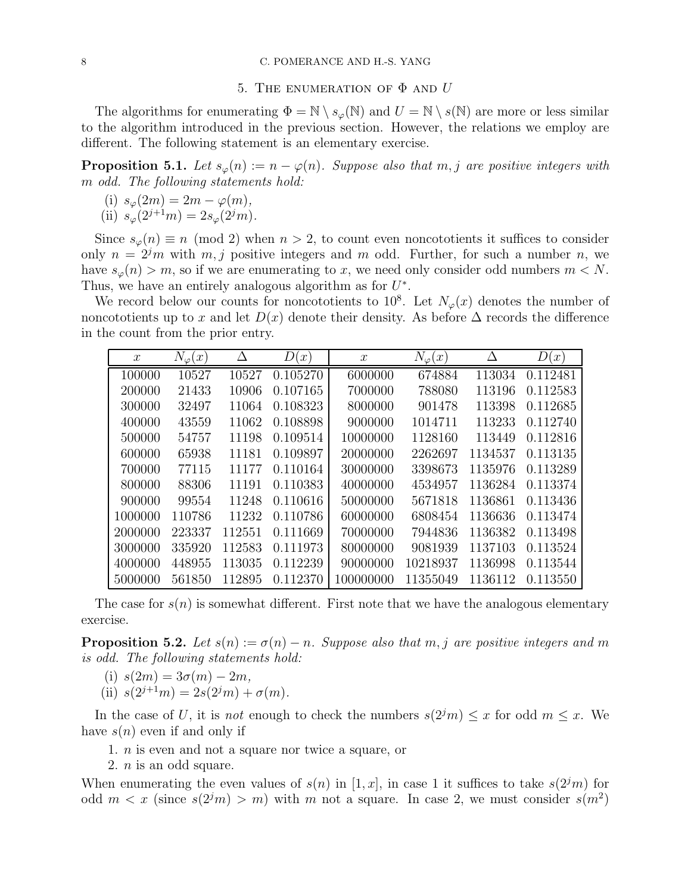## 5. THE ENUMERATION OF  $\Phi$  and  $U$

The algorithms for enumerating  $\Phi = \mathbb{N} \setminus s_{\varphi}(\mathbb{N})$  and  $U = \mathbb{N} \setminus s(\mathbb{N})$  are more or less similar to the algorithm introduced in the previous section. However, the relations we employ are different. The following statement is an elementary exercise.

**Proposition 5.1.** Let  $s_{\varphi}(n) := n - \varphi(n)$ . Suppose also that  $m, j$  are positive integers with m *odd. The following statements hold:*

(i)  $s_{\varphi}(2m) = 2m - \varphi(m)$ , (ii)  $s_{\varphi}(2^{j+1}m) = 2s_{\varphi}(2^jm)$ .

Since  $s_{\varphi}(n) \equiv n \pmod{2}$  when  $n > 2$ , to count even noncototients it suffices to consider only  $n = 2<sup>j</sup>m$  with  $m, j$  positive integers and m odd. Further, for such a number n, we have  $s_{\varphi}(n) > m$ , so if we are enumerating to x, we need only consider odd numbers  $m < N$ . Thus, we have an entirely analogous algorithm as for  $U^*$ .

We record below our counts for noncototients to  $10^8$ . Let  $N_{\varphi}(x)$  denotes the number of noncototients up to x and let  $D(x)$  denote their density. As before  $\Delta$  records the difference in the count from the prior entry.

| $\boldsymbol{x}$ | $N_\varphi(x)$ | Δ      | D(<br>$\lfloor x \rfloor$ | $\boldsymbol{x}$ | $N_\varphi(x)$ | Δ       | D(x)     |
|------------------|----------------|--------|---------------------------|------------------|----------------|---------|----------|
| 100000           | 10527          | 10527  | 0.105270                  | 6000000          | 674884         | 113034  | 0.112481 |
| 200000           | 21433          | 10906  | 0.107165                  | 7000000          | 788080         | 113196  | 0.112583 |
| 300000           | 32497          | 11064  | 0.108323                  | 8000000          | 901478         | 113398  | 0.112685 |
| 400000           | 43559          | 11062  | 0.108898                  | 9000000          | 1014711        | 113233  | 0.112740 |
| 500000           | 54757          | 11198  | 0.109514                  | 10000000         | 1128160        | 113449  | 0.112816 |
| 600000           | 65938          | 11181  | 0.109897                  | 20000000         | 2262697        | 1134537 | 0.113135 |
| 700000           | 77115          | 11177  | 0.110164                  | 30000000         | 3398673        | 1135976 | 0.113289 |
| 800000           | 88306          | 11191  | 0.110383                  | 40000000         | 4534957        | 1136284 | 0.113374 |
| 900000           | 99554          | 11248  | 0.110616                  | 50000000         | 5671818        | 1136861 | 0.113436 |
| 1000000          | 110786         | 11232  | 0.110786                  | 60000000         | 6808454        | 1136636 | 0.113474 |
| 2000000          | 223337         | 112551 | 0.111669                  | 70000000         | 7944836        | 1136382 | 0.113498 |
| 3000000          | 335920         | 112583 | 0.111973                  | 80000000         | 9081939        | 1137103 | 0.113524 |
| 4000000          | 448955         | 113035 | 0.112239                  | 90000000         | 10218937       | 1136998 | 0.113544 |
| 5000000          | 561850         | 112895 | 0.112370                  | 100000000        | 11355049       | 1136112 | 0.113550 |

The case for  $s(n)$  is somewhat different. First note that we have the analogous elementary exercise.

**Proposition 5.2.** Let  $s(n) := \sigma(n) - n$ . Suppose also that m, j are positive integers and m *is odd. The following statements hold:*

- (i)  $s(2m) = 3\sigma(m) 2m$ ,
- (ii)  $s(2^{j+1}m) = 2s(2^jm) + \sigma(m)$ .

In the case of U, it is *not* enough to check the numbers  $s(2<sup>j</sup>m) \leq x$  for odd  $m \leq x$ . We have  $s(n)$  even if and only if

1. n is even and not a square nor twice a square, or

2. n is an odd square.

When enumerating the even values of  $s(n)$  in [1, x], in case 1 it suffices to take  $s(2<sup>j</sup>m)$  for odd  $m < x$  (since  $s(2<sup>j</sup>m) > m$ ) with m not a square. In case 2, we must consider  $s(m<sup>2</sup>)$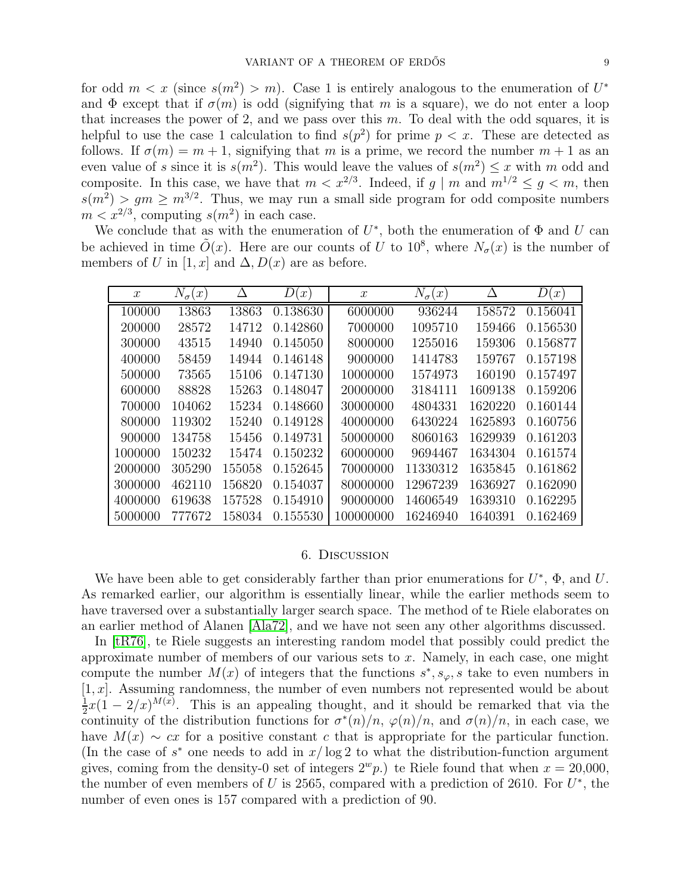for odd  $m < x$  (since  $s(m^2) > m$ ). Case 1 is entirely analogous to the enumeration of  $U^*$ and  $\Phi$  except that if  $\sigma(m)$  is odd (signifying that m is a square), we do not enter a loop that increases the power of 2, and we pass over this  $m$ . To deal with the odd squares, it is helpful to use the case 1 calculation to find  $s(p^2)$  for prime  $p < x$ . These are detected as follows. If  $\sigma(m) = m + 1$ , signifying that m is a prime, we record the number  $m + 1$  as an even value of s since it is  $s(m^2)$ . This would leave the values of  $s(m^2) \leq x$  with m odd and composite. In this case, we have that  $m < x^{2/3}$ . Indeed, if  $g \mid m$  and  $m^{1/2} \le g < m$ , then  $s(m^2) > gm \ge m^{3/2}$ . Thus, we may run a small side program for odd composite numbers  $m < x^{2/3}$ , computing  $s(m^2)$  in each case.

We conclude that as with the enumeration of  $U^*$ , both the enumeration of  $\Phi$  and  $U$  can be achieved in time  $\tilde{O}(x)$ . Here are our counts of U to 10<sup>8</sup>, where  $N_{\sigma}(x)$  is the number of members of U in [1, x] and  $\Delta$ ,  $D(x)$  are as before.

| $\mathcal{X}$ | $N_{\sigma}$ (<br>(x) | Δ      | IJ<br>$\mathcal{X}$ | $\boldsymbol{x}$ | $N_{\sigma}$<br>$\lfloor x \rfloor$ | Δ       | D<br>$\lfloor x \rfloor$ |
|---------------|-----------------------|--------|---------------------|------------------|-------------------------------------|---------|--------------------------|
| 100000        | 13863                 | 13863  | 0.138630            | 6000000          | 936244                              | 158572  | 0.156041                 |
| 200000        | 28572                 | 14712  | 0.142860            | 7000000          | 1095710                             | 159466  | 0.156530                 |
| 300000        | 43515                 | 14940  | 0.145050            | 8000000          | 1255016                             | 159306  | 0.156877                 |
| 400000        | 58459                 | 14944  | 0.146148            | 9000000          | 1414783                             | 159767  | 0.157198                 |
| 500000        | 73565                 | 15106  | 0.147130            | 10000000         | 1574973                             | 160190  | 0.157497                 |
| 600000        | 88828                 | 15263  | 0.148047            | 20000000         | 3184111                             | 1609138 | 0.159206                 |
| 700000        | 104062                | 15234  | 0.148660            | 30000000         | 4804331                             | 1620220 | 0.160144                 |
| 800000        | 119302                | 15240  | 0.149128            | 40000000         | 6430224                             | 1625893 | 0.160756                 |
| 900000        | 134758                | 15456  | 0.149731            | 50000000         | 8060163                             | 1629939 | 0.161203                 |
| 1000000       | 150232                | 15474  | 0.150232            | 60000000         | 9694467                             | 1634304 | 0.161574                 |
| 2000000       | 305290                | 155058 | 0.152645            | 70000000         | 11330312                            | 1635845 | 0.161862                 |
| 3000000       | 462110                | 156820 | 0.154037            | 80000000         | 12967239                            | 1636927 | 0.162090                 |
| 4000000       | 619638                | 157528 | 0.154910            | 90000000         | 14606549                            | 1639310 | 0.162295                 |
| 5000000       | 777672                | 158034 | 0.155530            | 100000000        | 16246940                            | 1640391 | 0.162469                 |

## 6. Discussion

We have been able to get considerably farther than prior enumerations for  $U^*$ ,  $\Phi$ , and U. As remarked earlier, our algorithm is essentially linear, while the earlier methods seem to have traversed over a substantially larger search space. The method of te Riele elaborates on an earlier method of Alanen [\[Ala72\]](#page-9-4), and we have not seen any other algorithms discussed.

In [\[tR76\]](#page-10-1), te Riele suggests an interesting random model that possibly could predict the approximate number of members of our various sets to  $x$ . Namely, in each case, one might compute the number  $M(x)$  of integers that the functions  $s^*$ ,  $s_{\varphi}$ , s take to even numbers in  $[1, x]$ . Assuming randomness, the number of even numbers not represented would be about 1  $\frac{1}{2}x(1-2/x)^{M(x)}$ . This is an appealing thought, and it should be remarked that via the continuity of the distribution functions for  $\sigma^*(n)/n$ ,  $\varphi(n)/n$ , and  $\sigma(n)/n$ , in each case, we have  $M(x) \sim cx$  for a positive constant c that is appropriate for the particular function. (In the case of  $s^*$  one needs to add in  $x/\log 2$  to what the distribution-function argument gives, coming from the density-0 set of integers  $2^w p$ .) te Riele found that when  $x = 20,000$ , the number of even members of U is 2565, compared with a prediction of 2610. For  $U^*$ , the number of even ones is 157 compared with a prediction of 90.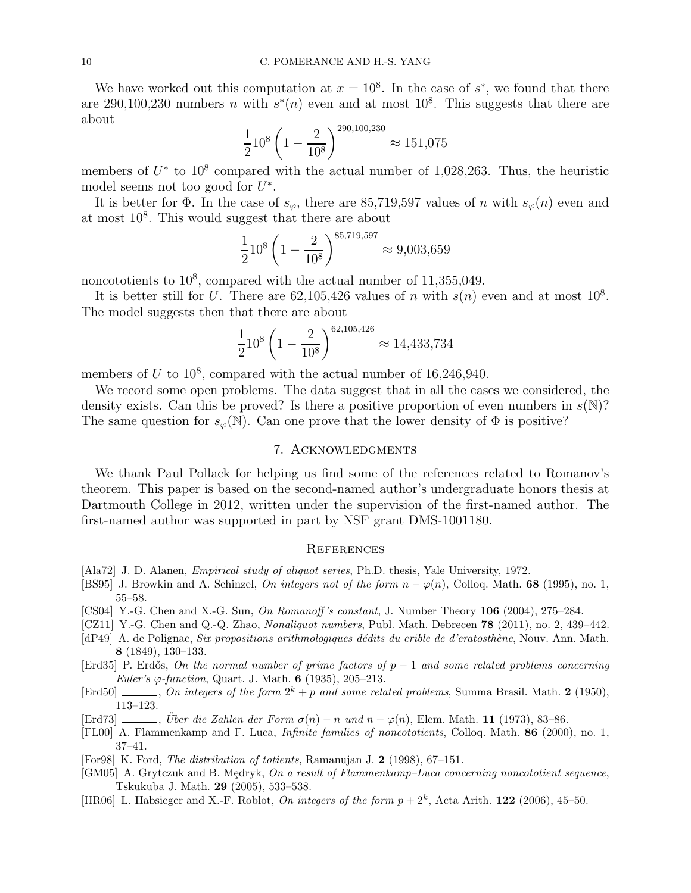We have worked out this computation at  $x = 10^8$ . In the case of  $s^*$ , we found that there are 290,100,230 numbers *n* with  $s^*(n)$  even and at most 10<sup>8</sup>. This suggests that there are about

$$
\frac{1}{2}10^8 \left(1 - \frac{2}{10^8}\right)^{290,100,230} \approx 151,075
$$

members of  $U^*$  to  $10^8$  compared with the actual number of 1,028,263. Thus, the heuristic model seems not too good for  $U^*$ .

It is better for  $\Phi$ . In the case of  $s_{\varphi}$ , there are 85,719,597 values of n with  $s_{\varphi}(n)$  even and at most 10<sup>8</sup> . This would suggest that there are about

$$
\frac{1}{2}10^8 \left(1 - \frac{2}{10^8}\right)^{85,719,597} \approx 9,003,659
$$

noncototients to  $10^8$ , compared with the actual number of  $11,355,049$ .

It is better still for U. There are  $62,105,426$  values of n with  $s(n)$  even and at most  $10^8$ . The model suggests then that there are about

$$
\frac{1}{2}10^8 \left(1 - \frac{2}{10^8}\right)^{62,105,426} \approx 14,433,734
$$

members of  $U$  to  $10^8$ , compared with the actual number of 16,246,940.

We record some open problems. The data suggest that in all the cases we considered, the density exists. Can this be proved? Is there a positive proportion of even numbers in  $s(N)$ ? The same question for  $s_{\varphi}(\mathbb{N})$ . Can one prove that the lower density of  $\Phi$  is positive?

### 7. Acknowledgments

We thank Paul Pollack for helping us find some of the references related to Romanov's theorem. This paper is based on the second-named author's undergraduate honors thesis at Dartmouth College in 2012, written under the supervision of the first-named author. The first-named author was supported in part by NSF grant DMS-1001180.

#### **REFERENCES**

- <span id="page-9-4"></span>[Ala72] J. D. Alanen, *Empirical study of aliquot series*, Ph.D. thesis, Yale University, 1972.
- <span id="page-9-5"></span>[BS95] J. Browkin and A. Schinzel, On integers not of the form  $n - \varphi(n)$ , Colloq. Math. 68 (1995), no. 1, 55–58.
- <span id="page-9-10"></span>[CS04] Y.-G. Chen and X.-G. Sun, On Romanoff 's constant, J. Number Theory 106 (2004), 275–284.
- <span id="page-9-3"></span>[CZ11] Y.-G. Chen and Q.-Q. Zhao, *Nonaliquot numbers*, Publ. Math. Debrecen **78** (2011), no. 2, 439–442.
- <span id="page-9-8"></span>[dP49] A. de Polignac, Six propositions arithmologiques dédits du crible de d'eratosthène, Nouv. Ann. Math. 8 (1849), 130–133.
- <span id="page-9-0"></span>[Erd35] P. Erdős, On the normal number of prime factors of  $p-1$  and some related problems concerning Euler's  $\varphi$ -function, Quart. J. Math. 6 (1935), 205–213.
- <span id="page-9-9"></span>[Erd50]  $\ldots$ , On integers of the form  $2^k + p$  and some related problems, Summa Brasil. Math. 2 (1950), 113–123.
- <span id="page-9-2"></span>[Erd73] , Über die Zahlen der Form  $\sigma(n) - n$  und  $n - \varphi(n)$ , Elem. Math. 11 (1973), 83–86.
- <span id="page-9-6"></span>[FL00] A. Flammenkamp and F. Luca, Infinite families of noncototients, Colloq. Math. 86 (2000), no. 1, 37–41.
- <span id="page-9-1"></span>[For98] K. Ford, The distribution of totients, Ramanujan J. 2 (1998), 67–151.
- <span id="page-9-7"></span>[GM05] A. Grytczuk and B. Mędryk, On a result of Flammenkamp–Luca concerning noncototient sequence, Tskukuba J. Math. 29 (2005), 533–538.
- <span id="page-9-11"></span>[HR06] L. Habsieger and X.-F. Roblot, On integers of the form  $p + 2<sup>k</sup>$ , Acta Arith. 122 (2006), 45–50.